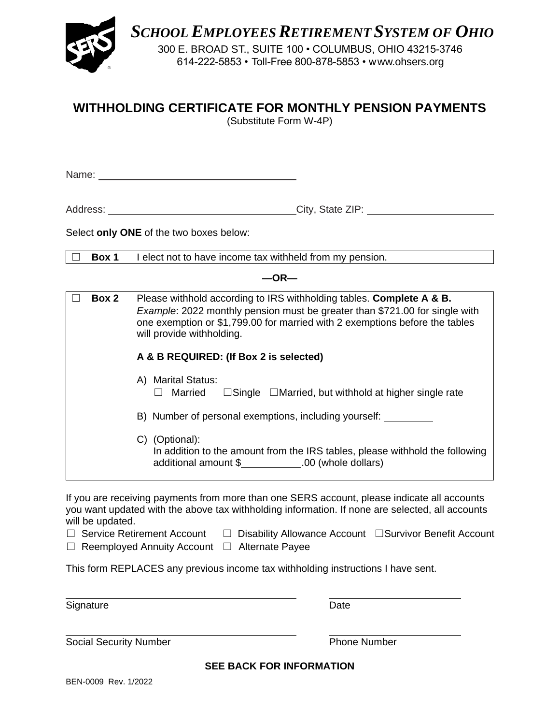

*SCHOOLEMPLOYEESRETIREMENT SYSTEM OF OHIO*

300 E. BROAD ST., SUITE 100 • COLUMBUS, OHIO 43215-3746 614-222-5853 • Toll-Free 800-878-5853 • www.ohsers.org

# **WITHHOLDING CERTIFICATE FOR MONTHLY PENSION PAYMENTS**

(Substitute Form W-4P)

Name:

Address: City, State ZIP:

Select **only ONE** of the two boxes below:

☐ **Box 1** I elect not to have income tax withheld from my pension.

**—OR—**

| Box 2 | Please withhold according to IRS withholding tables. Complete A & B.<br>Example: 2022 monthly pension must be greater than \$721.00 for single with<br>one exemption or \$1,799.00 for married with 2 exemptions before the tables<br>will provide withholding. |
|-------|-----------------------------------------------------------------------------------------------------------------------------------------------------------------------------------------------------------------------------------------------------------------|
|       | A & B REQUIRED: (If Box 2 is selected)                                                                                                                                                                                                                          |
|       | A) Marital Status:<br>$\Box$ Single $\Box$ Married, but withhold at higher single rate<br>Married                                                                                                                                                               |
|       | B) Number of personal exemptions, including yourself:                                                                                                                                                                                                           |
|       | C) (Optional):<br>In addition to the amount from the IRS tables, please withhold the following<br>additional amount \$ .00 (whole dollars)                                                                                                                      |

If you are receiving payments from more than one SERS account, please indicate all accounts you want updated with the above tax withholding information. If none are selected, all accounts will be updated.

☐ Service Retirement Account ☐ Disability Allowance Account ☐Survivor Benefit Account ☐ Reemployed Annuity Account ☐ Alternate Payee

This form REPLACES any previous income tax withholding instructions I have sent.

Signature Date **Date** 

Social Security Number **Phone Number** Phone Number

**SEE BACK FOR INFORMATION**